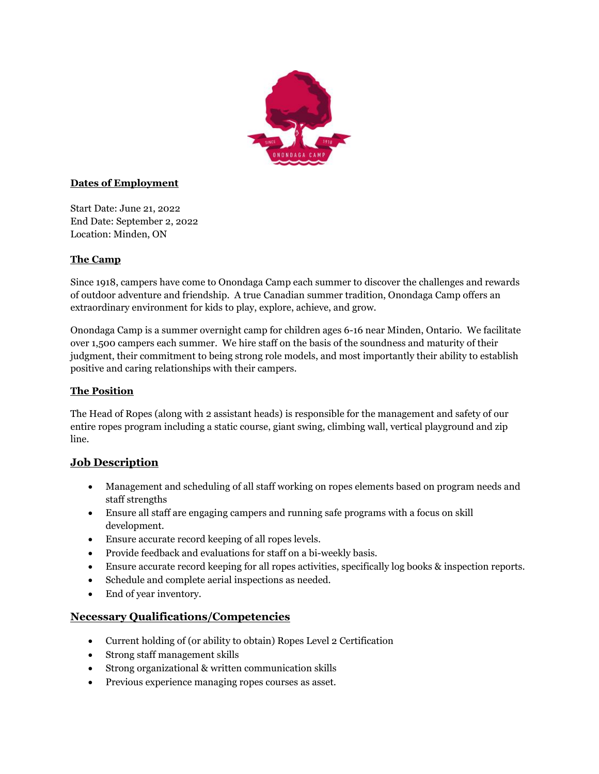

# **Dates of Employment**

Start Date: June 21, 2022 End Date: September 2, 2022 Location: Minden, ON

#### **The Camp**

Since 1918, campers have come to Onondaga Camp each summer to discover the challenges and rewards of outdoor adventure and friendship. A true Canadian summer tradition, Onondaga Camp offers an extraordinary environment for kids to play, explore, achieve, and grow.

Onondaga Camp is a summer overnight camp for children ages 6-16 near Minden, Ontario. We facilitate over 1,500 campers each summer. We hire staff on the basis of the soundness and maturity of their judgment, their commitment to being strong role models, and most importantly their ability to establish positive and caring relationships with their campers.

#### **The Position**

The Head of Ropes (along with 2 assistant heads) is responsible for the management and safety of our entire ropes program including a static course, giant swing, climbing wall, vertical playground and zip line.

# **Job Description**

- Management and scheduling of all staff working on ropes elements based on program needs and staff strengths
- Ensure all staff are engaging campers and running safe programs with a focus on skill development.
- Ensure accurate record keeping of all ropes levels.
- Provide feedback and evaluations for staff on a bi-weekly basis.
- Ensure accurate record keeping for all ropes activities, specifically log books & inspection reports.
- Schedule and complete aerial inspections as needed.
- End of year inventory.

# **Necessary Qualifications/Competencies**

- Current holding of (or ability to obtain) Ropes Level 2 Certification
- Strong staff management skills
- Strong organizational & written communication skills
- Previous experience managing ropes courses as asset.